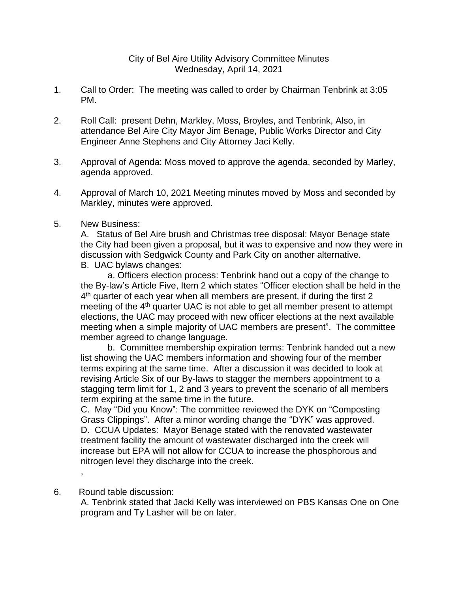- 1. Call to Order: The meeting was called to order by Chairman Tenbrink at 3:05 PM.
- 2. Roll Call: present Dehn, Markley, Moss, Broyles, and Tenbrink, Also, in attendance Bel Aire City Mayor Jim Benage, Public Works Director and City Engineer Anne Stephens and City Attorney Jaci Kelly.
- 3. Approval of Agenda: Moss moved to approve the agenda, seconded by Marley, agenda approved.
- 4. Approval of March 10, 2021 Meeting minutes moved by Moss and seconded by Markley, minutes were approved.
- 5. New Business:

A. Status of Bel Aire brush and Christmas tree disposal: Mayor Benage state the City had been given a proposal, but it was to expensive and now they were in discussion with Sedgwick County and Park City on another alternative. B. UAC bylaws changes:

a. Officers election process: Tenbrink hand out a copy of the change to the By-law's Article Five, Item 2 which states "Officer election shall be held in the 4 th quarter of each year when all members are present, if during the first 2 meeting of the 4th quarter UAC is not able to get all member present to attempt elections, the UAC may proceed with new officer elections at the next available meeting when a simple majority of UAC members are present". The committee member agreed to change language.

b. Committee membership expiration terms: Tenbrink handed out a new list showing the UAC members information and showing four of the member terms expiring at the same time. After a discussion it was decided to look at revising Article Six of our By-laws to stagger the members appointment to a stagging term limit for 1, 2 and 3 years to prevent the scenario of all members term expiring at the same time in the future.

C. May "Did you Know": The committee reviewed the DYK on "Composting Grass Clippings". After a minor wording change the "DYK" was approved. D. CCUA Updates: Mayor Benage stated with the renovated wastewater treatment facility the amount of wastewater discharged into the creek will increase but EPA will not allow for CCUA to increase the phosphorous and nitrogen level they discharge into the creek.

6. Round table discussion:

,

A. Tenbrink stated that Jacki Kelly was interviewed on PBS Kansas One on One program and Ty Lasher will be on later.